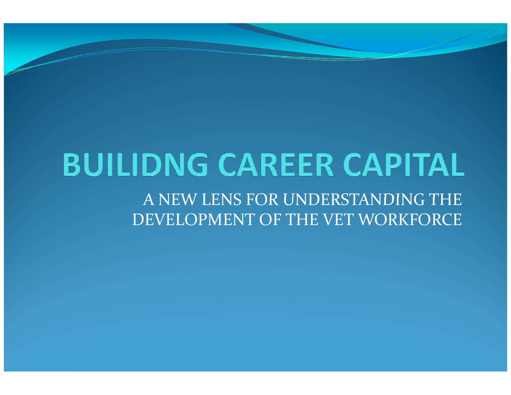# **BUILIDNG CAREER CAPITAL**

A NEW LENS FOR UNDERSTANDING THE DEVELOPMENT OF THE VET WORKFORCE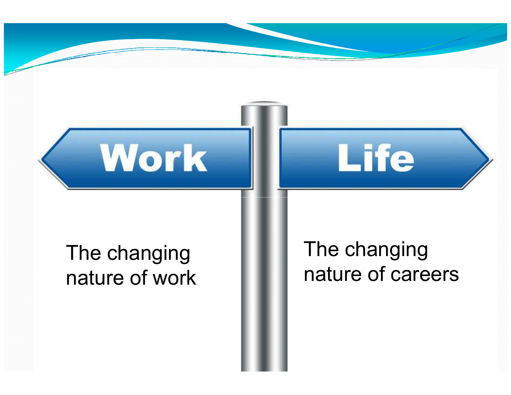

Work

The changing nature of careers

Life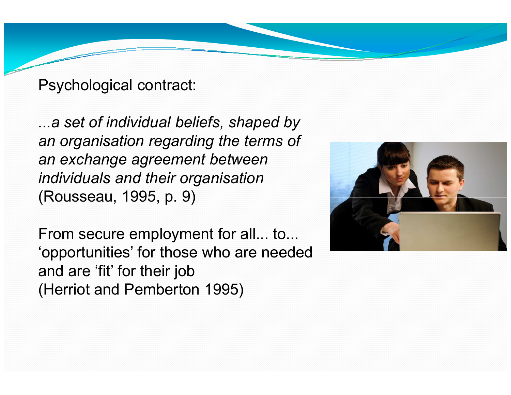Psychological contract:

...a set of individual beliefs, shaped by an organisation regarding the terms of an exchange agreement between individuals and their organisation(Rousseau, 1995, p. 9)

From secure employment for all... to... 'opportunities' for those who are needed and are 'fit' for their job(Herriot and Pemberton 1995)

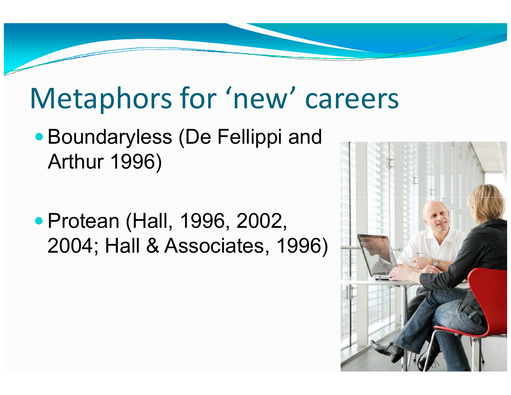### Metaphors for 'new' careers

- Boundaryless (De Fellippi and Arthur 1996)
- Protean (Hall, 1996, 2002, 2004; Hall & Associates, 1996)

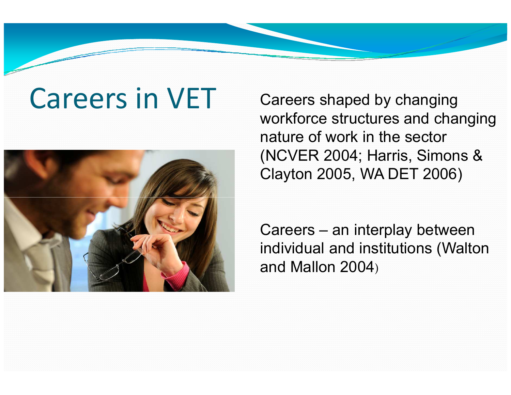## Careers in VET



 Careers shaped by changing workforce structures and changing nature of work in the sector (NCVER 2004; Harris, Simons & Clayton 2005, WA DET 2006)

Careers – an interplay between individual and institutions (Walton and Mallon 2004)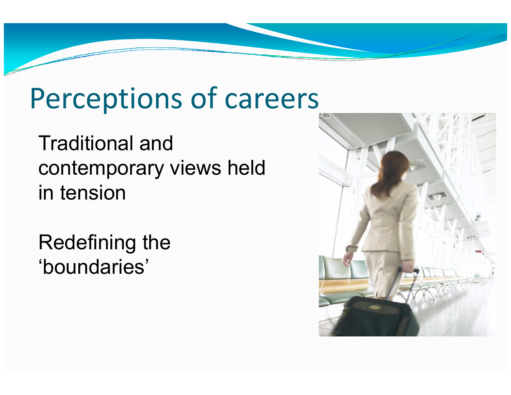### Perceptions of careers

Traditional and contemporary views held in tension

Redefining the 'boundaries'

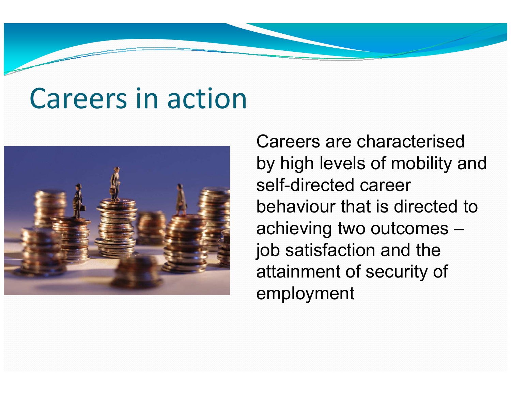#### Careers in action



Careers are characterised by high levels of mobility and self-directed career behaviour that is directed to achieving two outcomes –job satisfaction and the attainment of security of employment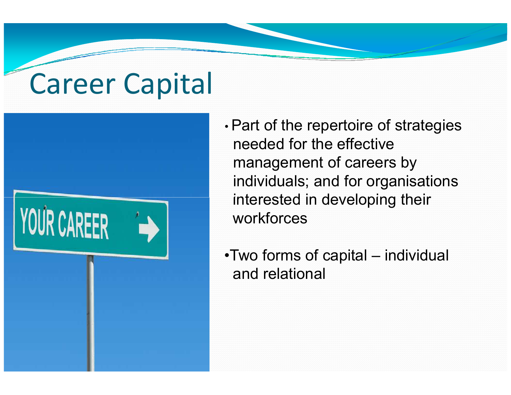# Career Capital



- • Part of the repertoire of strategies needed for the effective management of careers by individuals; and for organisations interested in developing their workforces
- •Two forms of capital individual and relational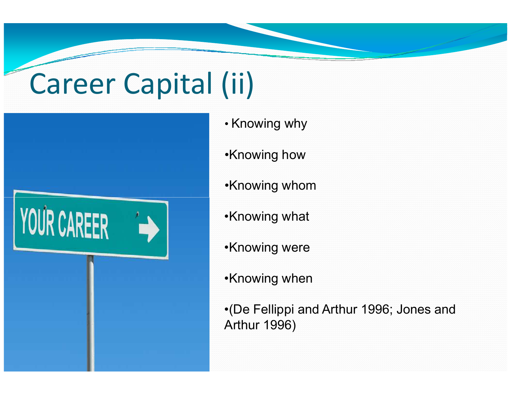# Career Capital (ii)



- Knowing why
- •Knowing how
- •Knowing whom
- •Knowing what
- •Knowing were
- •Knowing when

•(De Fellippi and Arthur 1996; Jones and Arthur 1996)